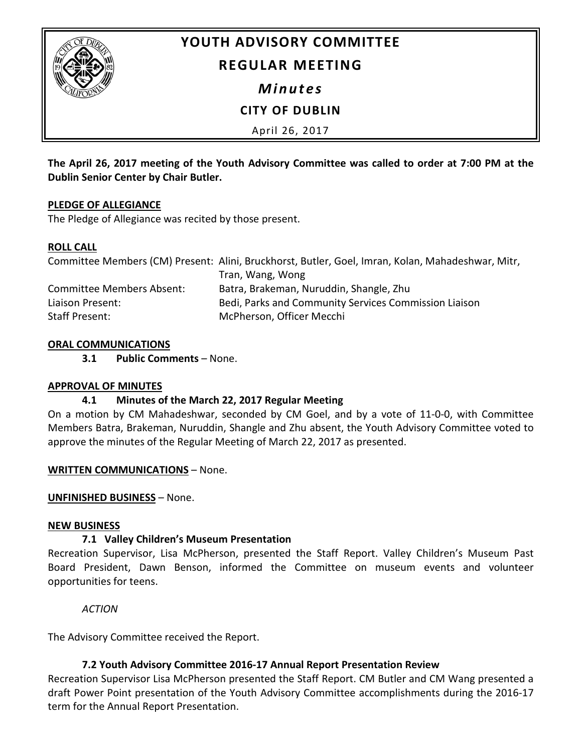

# **YOUTH ADVISORY COMMITTEE**

## **REGULAR MEETING**

*Minutes*

# **CITY OF DUBLIN**

April 26, 2017

**The April 26, 2017 meeting of the Youth Advisory Committee was called to order at 7:00 PM at the Dublin Senior Center by Chair Butler.**

## **PLEDGE OF ALLEGIANCE**

The Pledge of Allegiance was recited by those present.

## **ROLL CALL**

|                                  | Committee Members (CM) Present: Alini, Bruckhorst, Butler, Goel, Imran, Kolan, Mahadeshwar, Mitr, |
|----------------------------------|---------------------------------------------------------------------------------------------------|
|                                  | Tran, Wang, Wong                                                                                  |
| <b>Committee Members Absent:</b> | Batra, Brakeman, Nuruddin, Shangle, Zhu                                                           |
| Liaison Present:                 | Bedi, Parks and Community Services Commission Liaison                                             |
| Staff Present:                   | McPherson, Officer Mecchi                                                                         |

## **ORAL COMMUNICATIONS**

**3.1 Public Comments** – None.

## **APPROVAL OF MINUTES**

## **4.1 Minutes of the March 22, 2017 Regular Meeting**

On a motion by CM Mahadeshwar, seconded by CM Goel, and by a vote of 11-0-0, with Committee Members Batra, Brakeman, Nuruddin, Shangle and Zhu absent, the Youth Advisory Committee voted to approve the minutes of the Regular Meeting of March 22, 2017 as presented.

#### **WRITTEN COMMUNICATIONS** – None.

## **UNFINISHED BUSINESS** – None.

#### **NEW BUSINESS**

## **7.1 Valley Children's Museum Presentation**

Recreation Supervisor, Lisa McPherson, presented the Staff Report. Valley Children's Museum Past Board President, Dawn Benson, informed the Committee on museum events and volunteer opportunities for teens.

*ACTION*

The Advisory Committee received the Report.

## **7.2 Youth Advisory Committee 2016-17 Annual Report Presentation Review**

Recreation Supervisor Lisa McPherson presented the Staff Report. CM Butler and CM Wang presented a draft Power Point presentation of the Youth Advisory Committee accomplishments during the 2016-17 term for the Annual Report Presentation.